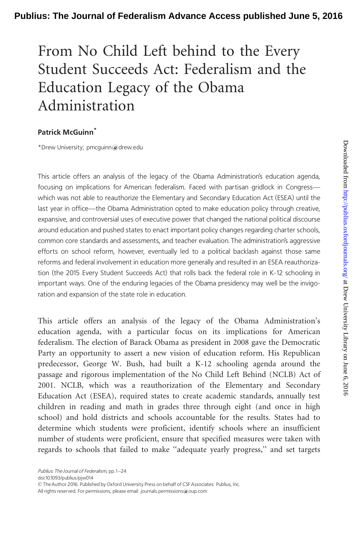From No Child Left behind to the Every Student Succeeds Act: Federalism and the Education Legacy of the Obama Administration

### Patrick McGuinn<sup>\*</sup>

\*Drew University; pmcguinn@drew.edu

This article offers an analysis of the legacy of the Obama Administration's education agenda, focusing on implications for American federalism. Faced with partisan gridlock in Congresswhich was not able to reauthorize the Elementary and Secondary Education Act (ESEA) until the last year in office—the Obama Administration opted to make education policy through creative, expansive, and controversial uses of executive power that changed the national political discourse around education and pushed states to enact important policy changes regarding charter schools, common core standards and assessments, and teacher evaluation. The administration's aggressive efforts on school reform, however, eventually led to a political backlash against those same reforms and federal involvement in education more generally and resulted in an ESEA reauthorization (the 2015 Every Student Succeeds Act) that rolls back the federal role in K-12 schooling in important ways. One of the enduring legacies of the Obama presidency may well be the invigoration and expansion of the state role in education.

This article offers an analysis of the legacy of the Obama Administration's education agenda, with a particular focus on its implications for American federalism. The election of Barack Obama as president in 2008 gave the Democratic Party an opportunity to assert a new vision of education reform. His Republican predecessor, George W. Bush, had built a K-12 schooling agenda around the passage and rigorous implementation of the No Child Left Behind (NCLB) Act of 2001. NCLB, which was a reauthorization of the Elementary and Secondary Education Act (ESEA), required states to create academic standards, annually test children in reading and math in grades three through eight (and once in high school) and hold districts and schools accountable for the results. States had to determine which students were proficient, identify schools where an insufficient number of students were proficient, ensure that specified measures were taken with regards to schools that failed to make ''adequate yearly progress,'' and set targets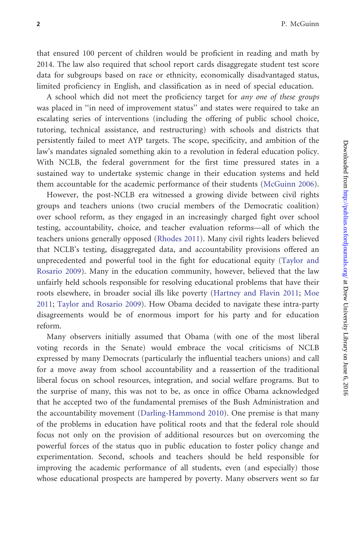that ensured 100 percent of children would be proficient in reading and math by 2014. The law also required that school report cards disaggregate student test score data for subgroups based on race or ethnicity, economically disadvantaged status, limited proficiency in English, and classification as in need of special education.

A school which did not meet the proficiency target for any one of these groups was placed in ''in need of improvement status'' and states were required to take an escalating series of interventions (including the offering of public school choice, tutoring, technical assistance, and restructuring) with schools and districts that persistently failed to meet AYP targets. The scope, specificity, and ambition of the law's mandates signaled something akin to a revolution in federal education policy. With NCLB, the federal government for the first time pressured states in a sustained way to undertake systemic change in their education systems and held them accountable for the academic performance of their students ([McGuinn 2006](#page-21-0)).

However, the post-NCLB era witnessed a growing divide between civil rights groups and teachers unions (two crucial members of the Democratic coalition) over school reform, as they engaged in an increasingly charged fight over school testing, accountability, choice, and teacher evaluation reforms—all of which the teachers unions generally opposed [\(Rhodes 2011\)](#page-22-0). Many civil rights leaders believed that NCLB's testing, disaggregated data, and accountability provisions offered an unprecedented and powerful tool in the fight for educational equity ([Taylor and](#page-22-0) [Rosario 2009](#page-22-0)). Many in the education community, however, believed that the law unfairly held schools responsible for resolving educational problems that have their roots elsewhere, in broader social ills like poverty [\(Hartney and Flavin 2011;](#page-19-0) [Moe](#page-21-0) [2011;](#page-21-0) [Taylor and Rosario 2009\)](#page-22-0). How Obama decided to navigate these intra-party disagreements would be of enormous import for his party and for education reform.

Many observers initially assumed that Obama (with one of the most liberal voting records in the Senate) would embrace the vocal criticisms of NCLB expressed by many Democrats (particularly the influential teachers unions) and call for a move away from school accountability and a reassertion of the traditional liberal focus on school resources, integration, and social welfare programs. But to the surprise of many, this was not to be, as once in office Obama acknowledged that he accepted two of the fundamental premises of the Bush Administration and the accountability movement [\(Darling-Hammond 2010\)](#page-18-0). One premise is that many of the problems in education have political roots and that the federal role should focus not only on the provision of additional resources but on overcoming the powerful forces of the status quo in public education to foster policy change and experimentation. Second, schools and teachers should be held responsible for improving the academic performance of all students, even (and especially) those whose educational prospects are hampered by poverty. Many observers went so far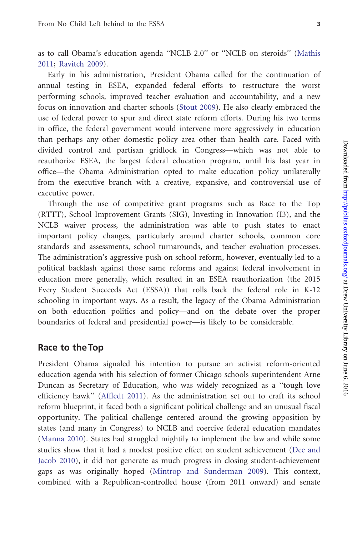as to call Obama's education agenda ''NCLB 2.0'' or ''NCLB on steroids'' ([Mathis](#page-20-0) [2011;](#page-20-0) [Ravitch 2009\)](#page-22-0).

Early in his administration, President Obama called for the continuation of annual testing in ESEA, expanded federal efforts to restructure the worst performing schools, improved teacher evaluation and accountability, and a new focus on innovation and charter schools [\(Stout 2009\)](#page-22-0). He also clearly embraced the use of federal power to spur and direct state reform efforts. During his two terms in office, the federal government would intervene more aggressively in education than perhaps any other domestic policy area other than health care. Faced with divided control and partisan gridlock in Congress—which was not able to reauthorize ESEA, the largest federal education program, until his last year in office—the Obama Administration opted to make education policy unilaterally from the executive branch with a creative, expansive, and controversial use of executive power.

Through the use of competitive grant programs such as Race to the Top (RTTT), School Improvement Grants (SIG), Investing in Innovation (I3), and the NCLB waiver process, the administration was able to push states to enact important policy changes, particularly around charter schools, common core standards and assessments, school turnarounds, and teacher evaluation processes. The administration's aggressive push on school reform, however, eventually led to a political backlash against those same reforms and against federal involvement in education more generally, which resulted in an ESEA reauthorization (the 2015 Every Student Succeeds Act (ESSA)) that rolls back the federal role in K-12 schooling in important ways. As a result, the legacy of the Obama Administration on both education politics and policy—and on the debate over the proper boundaries of federal and presidential power—is likely to be considerable.

# Race to the Top

President Obama signaled his intention to pursue an activist reform-oriented education agenda with his selection of former Chicago schools superintendent Arne Duncan as Secretary of Education, who was widely recognized as a ''tough love efficiency hawk'' [\(Affledt 2011](#page-17-0)). As the administration set out to craft its school reform blueprint, it faced both a significant political challenge and an unusual fiscal opportunity. The political challenge centered around the growing opposition by states (and many in Congress) to NCLB and coercive federal education mandates ([Manna 2010](#page-20-0)). States had struggled mightily to implement the law and while some studies show that it had a modest positive effect on student achievement [\(Dee and](#page-18-0) [Jacob 2010\)](#page-18-0), it did not generate as much progress in closing student-achievement gaps as was originally hoped ([Mintrop and Sunderman 2009\)](#page-21-0). This context, combined with a Republican-controlled house (from 2011 onward) and senate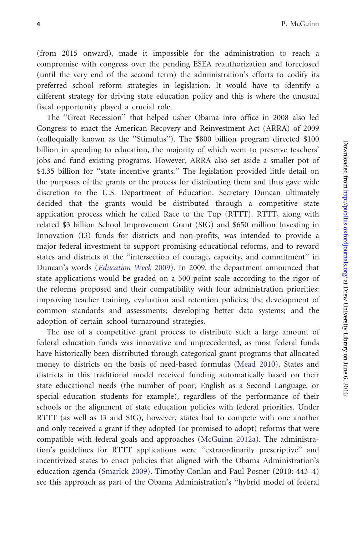(from 2015 onward), made it impossible for the administration to reach a compromise with congress over the pending ESEA reauthorization and foreclosed (until the very end of the second term) the administration's efforts to codify its preferred school reform strategies in legislation. It would have to identify a different strategy for driving state education policy and this is where the unusual fiscal opportunity played a crucial role.

The ''Great Recession'' that helped usher Obama into office in 2008 also led Congress to enact the American Recovery and Reinvestment Act (ARRA) of 2009 (colloquially known as the ''Stimulus''). The \$800 billion program directed \$100 billion in spending to education, the majority of which went to preserve teachers' jobs and fund existing programs. However, ARRA also set aside a smaller pot of \$4.35 billion for "state incentive grants." The legislation provided little detail on the purposes of the grants or the process for distributing them and thus gave wide discretion to the U.S. Department of Education. Secretary Duncan ultimately decided that the grants would be distributed through a competitive state application process which he called Race to the Top (RTTT). RTTT, along with related \$3 billion School Improvement Grant (SIG) and \$650 million Investing in Innovation (I3) funds for districts and non-profits, was intended to provide a major federal investment to support promising educational reforms, and to reward states and districts at the ''intersection of courage, capacity, and commitment'' in Duncan's words ([Education Week](#page-19-0) 2009). In 2009, the department announced that state applications would be graded on a 500-point scale according to the rigor of the reforms proposed and their compatibility with four administration priorities: improving teacher training, evaluation and retention policies; the development of common standards and assessments; developing better data systems; and the adoption of certain school turnaround strategies.

The use of a competitive grant process to distribute such a large amount of federal education funds was innovative and unprecedented, as most federal funds have historically been distributed through categorical grant programs that allocated money to districts on the basis of need-based formulas ([Mead 2010](#page-21-0)). States and districts in this traditional model received funding automatically based on their state educational needs (the number of poor, English as a Second Language, or special education students for example), regardless of the performance of their schools or the alignment of state education policies with federal priorities. Under RTTT (as well as I3 and SIG), however, states had to compete with one another and only received a grant if they adopted (or promised to adopt) reforms that were compatible with federal goals and approaches ([McGuinn 2012a](#page-21-0)). The administration's guidelines for RTTT applications were ''extraordinarily prescriptive'' and incentivized states to enact policies that aligned with the Obama Administration's education agenda ([Smarick 2009](#page-22-0)). Timothy Conlan and Paul Posner (2010: 443–4) see this approach as part of the Obama Administration's ''hybrid model of federal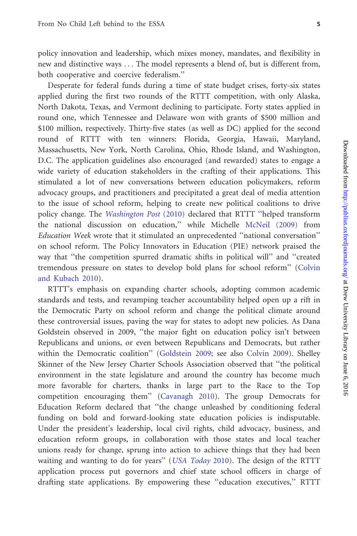policy innovation and leadership, which mixes money, mandates, and flexibility in new and distinctive ways ... The model represents a blend of, but is different from, both cooperative and coercive federalism.''

Desperate for federal funds during a time of state budget crises, forty-six states applied during the first two rounds of the RTTT competition, with only Alaska, North Dakota, Texas, and Vermont declining to participate. Forty states applied in round one, which Tennessee and Delaware won with grants of \$500 million and \$100 million, respectively. Thirty-five states (as well as DC) applied for the second round of RTTT with ten winners: Florida, Georgia, Hawaii, Maryland, Massachusetts, New York, North Carolina, Ohio, Rhode Island, and Washington, D.C. The application guidelines also encouraged (and rewarded) states to engage a wide variety of education stakeholders in the crafting of their applications. This stimulated a lot of new conversations between education policymakers, reform advocacy groups, and practitioners and precipitated a great deal of media attention to the issue of school reform, helping to create new political coalitions to drive policy change. The [Washington Post](#page-23-0) (2010) declared that RTTT ''helped transform the national discussion on education,'' while Michelle [McNeil \(2009\)](#page-21-0) from Education Week wrote that it stimulated an unprecedented ''national conversation'' on school reform. The Policy Innovators in Education (PIE) network praised the way that ''the competition spurred dramatic shifts in political will'' and ''created tremendous pressure on states to develop bold plans for school reform'' ([Colvin](#page-18-0) [and Kubach 2010\)](#page-18-0).

RTTT's emphasis on expanding charter schools, adopting common academic standards and tests, and revamping teacher accountability helped open up a rift in the Democratic Party on school reform and change the political climate around these controversial issues, paving the way for states to adopt new policies. As Dana Goldstein observed in 2009, ''the major fight on education policy isn't between Republicans and unions, or even between Republicans and Democrats, but rather within the Democratic coalition'' [\(Goldstein 2009;](#page-19-0) see also [Colvin 2009](#page-18-0)). Shelley Skinner of the New Jersey Charter Schools Association observed that ''the political environment in the state legislature and around the country has become much more favorable for charters, thanks in large part to the Race to the Top competition encouraging them'' [\(Cavanagh 2010\)](#page-18-0). The group Democrats for Education Reform declared that ''the change unleashed by conditioning federal funding on bold and forward-looking state education policies is indisputable. Under the president's leadership, local civil rights, child advocacy, business, and education reform groups, in collaboration with those states and local teacher unions ready for change, sprung into action to achieve things that they had been waiting and wanting to do for years" ([USA Today](#page-23-0) 2010). The design of the RTTT application process put governors and chief state school officers in charge of drafting state applications. By empowering these ''education executives,'' RTTT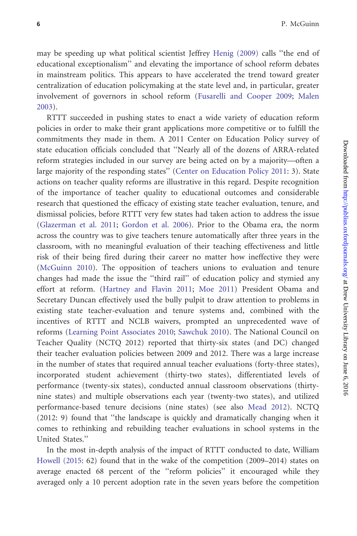may be speeding up what political scientist Jeffrey [Henig \(2009\)](#page-19-0) calls ''the end of educational exceptionalism'' and elevating the importance of school reform debates in mainstream politics. This appears to have accelerated the trend toward greater centralization of education policymaking at the state level and, in particular, greater involvement of governors in school reform [\(Fusarelli and Cooper 2009](#page-19-0); [Malen](#page-20-0) [2003\)](#page-20-0).

RTTT succeeded in pushing states to enact a wide variety of education reform policies in order to make their grant applications more competitive or to fulfill the commitments they made in them. A 2011 Center on Education Policy survey of state education officials concluded that ''Nearly all of the dozens of ARRA-related reform strategies included in our survey are being acted on by a majority—often a large majority of the responding states'' ([Center on Education Policy 2011](#page-18-0): 3). State actions on teacher quality reforms are illustrative in this regard. Despite recognition of the importance of teacher quality to educational outcomes and considerable research that questioned the efficacy of existing state teacher evaluation, tenure, and dismissal policies, before RTTT very few states had taken action to address the issue [\(Glazerman et al. 2011;](#page-19-0) [Gordon et al. 2006](#page-19-0)). Prior to the Obama era, the norm across the country was to give teachers tenure automatically after three years in the classroom, with no meaningful evaluation of their teaching effectiveness and little risk of their being fired during their career no matter how ineffective they were [\(McGuinn 2010\)](#page-21-0). The opposition of teachers unions to evaluation and tenure changes had made the issue the ''third rail'' of education policy and stymied any effort at reform. [\(Hartney and Flavin 2011;](#page-19-0) [Moe 2011\)](#page-21-0) President Obama and Secretary Duncan effectively used the bully pulpit to draw attention to problems in existing state teacher-evaluation and tenure systems and, combined with the incentives of RTTT and NCLB waivers, prompted an unprecedented wave of reforms ([Learning Point Associates 2010](#page-20-0); [Sawchuk 2010\)](#page-22-0). The National Council on Teacher Quality (NCTQ 2012) reported that thirty-six states (and DC) changed their teacher evaluation policies between 2009 and 2012. There was a large increase in the number of states that required annual teacher evaluations (forty-three states), incorporated student achievement (thirty-two states), differentiated levels of performance (twenty-six states), conducted annual classroom observations (thirtynine states) and multiple observations each year (twenty-two states), and utilized performance-based tenure decisions (nine states) (see also [Mead 2012](#page-21-0)). NCTQ (2012: 9) found that ''the landscape is quickly and dramatically changing when it comes to rethinking and rebuilding teacher evaluations in school systems in the United States.''

In the most in-depth analysis of the impact of RTTT conducted to date, William [Howell \(2015:](#page-20-0) 62) found that in the wake of the competition (2009–2014) states on average enacted 68 percent of the ''reform policies'' it encouraged while they averaged only a 10 percent adoption rate in the seven years before the competition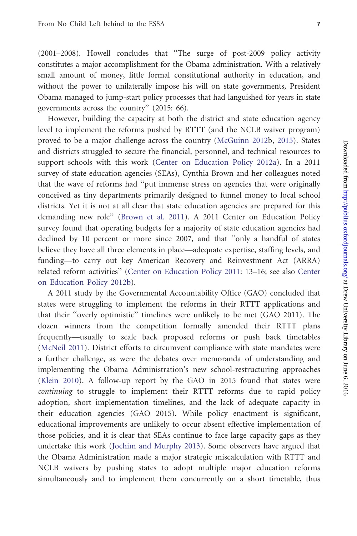(2001–2008). Howell concludes that ''The surge of post-2009 policy activity constitutes a major accomplishment for the Obama administration. With a relatively small amount of money, little formal constitutional authority in education, and without the power to unilaterally impose his will on state governments, President Obama managed to jump-start policy processes that had languished for years in state governments across the country'' (2015: 66).

However, building the capacity at both the district and state education agency level to implement the reforms pushed by RTTT (and the NCLB waiver program) proved to be a major challenge across the country ([McGuinn 2012](#page-21-0)b, [2015\)](#page-21-0). States and districts struggled to secure the financial, personnel, and technical resources to support schools with this work ([Center on Education Policy 2012a](#page-18-0)). In a 2011 survey of state education agencies (SEAs), Cynthia Brown and her colleagues noted that the wave of reforms had ''put immense stress on agencies that were originally conceived as tiny departments primarily designed to funnel money to local school districts. Yet it is not at all clear that state education agencies are prepared for this demanding new role'' [\(Brown et al. 2011](#page-18-0)). A 2011 Center on Education Policy survey found that operating budgets for a majority of state education agencies had declined by 10 percent or more since 2007, and that ''only a handful of states believe they have all three elements in place—adequate expertise, staffing levels, and funding—to carry out key American Recovery and Reinvestment Act (ARRA) related reform activities'' ([Center on Education Policy 2011:](#page-18-0) 13–16; see also [Center](#page-18-0) [on Education Policy 2012b](#page-18-0)).

A 2011 study by the Governmental Accountability Office (GAO) concluded that states were struggling to implement the reforms in their RTTT applications and that their ''overly optimistic'' timelines were unlikely to be met (GAO 2011). The dozen winners from the competition formally amended their RTTT plans frequently—usually to scale back proposed reforms or push back timetables ([McNeil 2011\)](#page-21-0). District efforts to circumvent compliance with state mandates were a further challenge, as were the debates over memoranda of understanding and implementing the Obama Administration's new school-restructuring approaches ([Klein 2010](#page-20-0)). A follow-up report by the GAO in 2015 found that states were continuing to struggle to implement their RTTT reforms due to rapid policy adoption, short implementation timelines, and the lack of adequate capacity in their education agencies (GAO 2015). While policy enactment is significant, educational improvements are unlikely to occur absent effective implementation of those policies, and it is clear that SEAs continue to face large capacity gaps as they undertake this work ([Jochim and Murphy 2013](#page-20-0)). Some observers have argued that the Obama Administration made a major strategic miscalculation with RTTT and NCLB waivers by pushing states to adopt multiple major education reforms simultaneously and to implement them concurrently on a short timetable, thus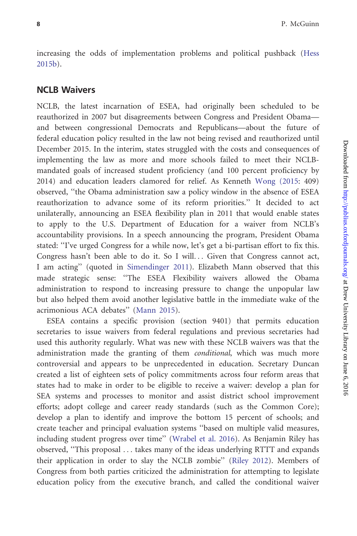increasing the odds of implementation problems and political pushback [\(Hess](#page-19-0) [2015b\)](#page-19-0).

#### NCLB Waivers

NCLB, the latest incarnation of ESEA, had originally been scheduled to be reauthorized in 2007 but disagreements between Congress and President Obama and between congressional Democrats and Republicans—about the future of federal education policy resulted in the law not being revised and reauthorized until December 2015. In the interim, states struggled with the costs and consequences of implementing the law as more and more schools failed to meet their NCLBmandated goals of increased student proficiency (and 100 percent proficiency by 2014) and education leaders clamored for relief. As Kenneth [Wong \(2015:](#page-23-0) 409) observed, ''the Obama administration saw a policy window in the absence of ESEA reauthorization to advance some of its reform priorities.'' It decided to act unilaterally, announcing an ESEA flexibility plan in 2011 that would enable states to apply to the U.S. Department of Education for a waiver from NCLB's accountability provisions. In a speech announcing the program, President Obama stated: ''I've urged Congress for a while now, let's get a bi-partisan effort to fix this. Congress hasn't been able to do it. So I will... Given that Congress cannot act, I am acting'' (quoted in [Simendinger 2011\)](#page-22-0). Elizabeth Mann observed that this made strategic sense: ''The ESEA Flexibility waivers allowed the Obama administration to respond to increasing pressure to change the unpopular law but also helped them avoid another legislative battle in the immediate wake of the acrimonious ACA debates'' ([Mann 2015\)](#page-20-0).

ESEA contains a specific provision (section 9401) that permits education secretaries to issue waivers from federal regulations and previous secretaries had used this authority regularly. What was new with these NCLB waivers was that the administration made the granting of them *conditional*, which was much more controversial and appears to be unprecedented in education. Secretary Duncan created a list of eighteen sets of policy commitments across four reform areas that states had to make in order to be eligible to receive a waiver: develop a plan for SEA systems and processes to monitor and assist district school improvement efforts; adopt college and career ready standards (such as the Common Core); develop a plan to identify and improve the bottom 15 percent of schools; and create teacher and principal evaluation systems ''based on multiple valid measures, including student progress over time'' [\(Wrabel et al. 2016\)](#page-23-0). As Benjamin Riley has observed, ''This proposal ... takes many of the ideas underlying RTTT and expands their application in order to slay the NCLB zombie'' ([Riley 2012\)](#page-22-0). Members of Congress from both parties criticized the administration for attempting to legislate education policy from the executive branch, and called the conditional waiver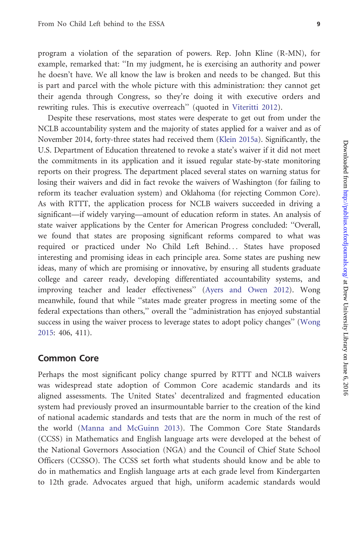program a violation of the separation of powers. Rep. John Kline (R-MN), for example, remarked that: ''In my judgment, he is exercising an authority and power he doesn't have. We all know the law is broken and needs to be changed. But this is part and parcel with the whole picture with this administration: they cannot get their agenda through Congress, so they're doing it with executive orders and rewriting rules. This is executive overreach'' (quoted in [Viteritti 2012\)](#page-23-0).

Despite these reservations, most states were desperate to get out from under the NCLB accountability system and the majority of states applied for a waiver and as of November 2014, forty-three states had received them [\(Klein 2015a](#page-20-0)). Significantly, the U.S. Department of Education threatened to revoke a state's waiver if it did not meet the commitments in its application and it issued regular state-by-state monitoring reports on their progress. The department placed several states on warning status for losing their waivers and did in fact revoke the waivers of Washington (for failing to reform its teacher evaluation system) and Oklahoma (for rejecting Common Core). As with RTTT, the application process for NCLB waivers succeeded in driving a significant—if widely varying—amount of education reform in states. An analysis of state waiver applications by the Center for American Progress concluded: ''Overall, we found that states are proposing significant reforms compared to what was required or practiced under No Child Left Behind... States have proposed interesting and promising ideas in each principle area. Some states are pushing new ideas, many of which are promising or innovative, by ensuring all students graduate college and career ready, developing differentiated accountability systems, and improving teacher and leader effectiveness'' [\(Ayers and Owen 2012\)](#page-17-0). Wong meanwhile, found that while ''states made greater progress in meeting some of the federal expectations than others,'' overall the ''administration has enjoyed substantial success in using the waiver process to leverage states to adopt policy changes'' [\(Wong](#page-23-0) [2015:](#page-23-0) 406, 411).

# Common Core

Perhaps the most significant policy change spurred by RTTT and NCLB waivers was widespread state adoption of Common Core academic standards and its aligned assessments. The United States' decentralized and fragmented education system had previously proved an insurmountable barrier to the creation of the kind of national academic standards and tests that are the norm in much of the rest of the world ([Manna and McGuinn 2013\)](#page-20-0). The Common Core State Standards (CCSS) in Mathematics and English language arts were developed at the behest of the National Governors Association (NGA) and the Council of Chief State School Officers (CCSSO). The CCSS set forth what students should know and be able to do in mathematics and English language arts at each grade level from Kindergarten to 12th grade. Advocates argued that high, uniform academic standards would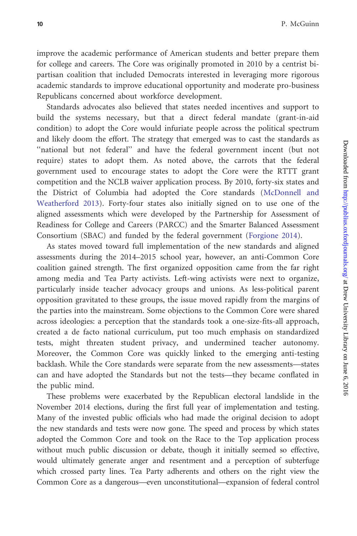improve the academic performance of American students and better prepare them for college and careers. The Core was originally promoted in 2010 by a centrist bipartisan coalition that included Democrats interested in leveraging more rigorous academic standards to improve educational opportunity and moderate pro-business Republicans concerned about workforce development.

Standards advocates also believed that states needed incentives and support to build the systems necessary, but that a direct federal mandate (grant-in-aid condition) to adopt the Core would infuriate people across the political spectrum and likely doom the effort. The strategy that emerged was to cast the standards as "national but not federal" and have the federal government incent (but not require) states to adopt them. As noted above, the carrots that the federal government used to encourage states to adopt the Core were the RTTT grant competition and the NCLB waiver application process. By 2010, forty-six states and the District of Columbia had adopted the Core standards ([McDonnell and](#page-21-0) [Weatherford 2013\)](#page-21-0). Forty-four states also initially signed on to use one of the aligned assessments which were developed by the Partnership for Assessment of Readiness for College and Careers (PARCC) and the Smarter Balanced Assessment Consortium (SBAC) and funded by the federal government ([Forgione 2014\)](#page-19-0).

As states moved toward full implementation of the new standards and aligned assessments during the 2014–2015 school year, however, an anti-Common Core coalition gained strength. The first organized opposition came from the far right among media and Tea Party activists. Left-wing activists were next to organize, particularly inside teacher advocacy groups and unions. As less-political parent opposition gravitated to these groups, the issue moved rapidly from the margins of the parties into the mainstream. Some objections to the Common Core were shared across ideologies: a perception that the standards took a one-size-fits-all approach, created a de facto national curriculum, put too much emphasis on standardized tests, might threaten student privacy, and undermined teacher autonomy. Moreover, the Common Core was quickly linked to the emerging anti-testing backlash. While the Core standards were separate from the new assessments—states can and have adopted the Standards but not the tests—they became conflated in the public mind.

These problems were exacerbated by the Republican electoral landslide in the November 2014 elections, during the first full year of implementation and testing. Many of the invested public officials who had made the original decision to adopt the new standards and tests were now gone. The speed and process by which states adopted the Common Core and took on the Race to the Top application process without much public discussion or debate, though it initially seemed so effective, would ultimately generate anger and resentment and a perception of subterfuge which crossed party lines. Tea Party adherents and others on the right view the Common Core as a dangerous—even unconstitutional—expansion of federal control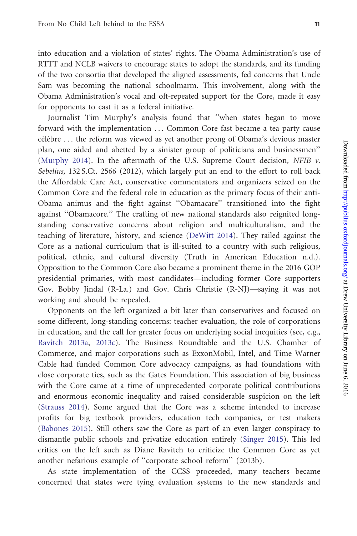into education and a violation of states' rights. The Obama Administration's use of RTTT and NCLB waivers to encourage states to adopt the standards, and its funding of the two consortia that developed the aligned assessments, fed concerns that Uncle Sam was becoming the national schoolmarm. This involvement, along with the Obama Administration's vocal and oft-repeated support for the Core, made it easy for opponents to cast it as a federal initiative.

Journalist Tim Murphy's analysis found that ''when states began to move forward with the implementation ... Common Core fast became a tea party cause célèbre ... the reform was viewed as yet another prong of Obama's devious master plan, one aided and abetted by a sinister group of politicians and businessmen'' ([Murphy 2014\)](#page-21-0). In the aftermath of the U.S. Supreme Court decision, NFIB  $\nu$ . Sebelius, 132 S.Ct. 2566 (2012), which largely put an end to the effort to roll back the Affordable Care Act, conservative commentators and organizers seized on the Common Core and the federal role in education as the primary focus of their anti-Obama animus and the fight against ''Obamacare'' transitioned into the fight against ''Obamacore.'' The crafting of new national standards also reignited longstanding conservative concerns about religion and multiculturalism, and the teaching of literature, history, and science ([DeWitt 2014\)](#page-18-0). They railed against the Core as a national curriculum that is ill-suited to a country with such religious, political, ethnic, and cultural diversity (Truth in American Education n.d.). Opposition to the Common Core also became a prominent theme in the 2016 GOP presidential primaries, with most candidates—including former Core supporters Gov. Bobby Jindal (R-La.) and Gov. Chris Christie (R-NJ)—saying it was not working and should be repealed.

Opponents on the left organized a bit later than conservatives and focused on some different, long-standing concerns: teacher evaluation, the role of corporations in education, and the call for greater focus on underlying social inequities (see, e.g., [Ravitch 2013a,](#page-22-0) [2013c](#page-22-0)). The Business Roundtable and the U.S. Chamber of Commerce, and major corporations such as ExxonMobil, Intel, and Time Warner Cable had funded Common Core advocacy campaigns, as had foundations with close corporate ties, such as the Gates Foundation. This association of big business with the Core came at a time of unprecedented corporate political contributions and enormous economic inequality and raised considerable suspicion on the left ([Strauss 2014](#page-22-0)). Some argued that the Core was a scheme intended to increase profits for big textbook providers, education tech companies, or test makers ([Babones 2015](#page-18-0)). Still others saw the Core as part of an even larger conspiracy to dismantle public schools and privatize education entirely [\(Singer 2015\)](#page-22-0). This led critics on the left such as Diane Ravitch to criticize the Common Core as yet another nefarious example of ''corporate school reform'' (2013b).

As state implementation of the CCSS proceeded, many teachers became concerned that states were tying evaluation systems to the new standards and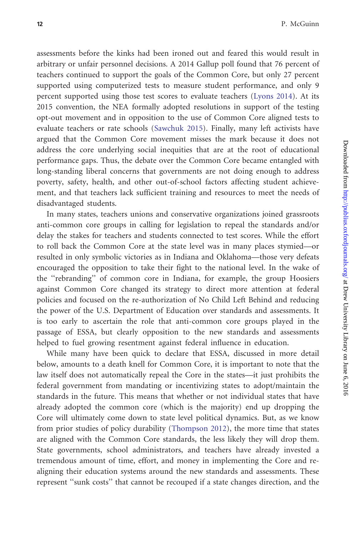assessments before the kinks had been ironed out and feared this would result in arbitrary or unfair personnel decisions. A 2014 Gallup poll found that 76 percent of teachers continued to support the goals of the Common Core, but only 27 percent supported using computerized tests to measure student performance, and only 9 percent supported using those test scores to evaluate teachers ([Lyons 2014\)](#page-20-0). At its 2015 convention, the NEA formally adopted resolutions in support of the testing opt-out movement and in opposition to the use of Common Core aligned tests to evaluate teachers or rate schools ([Sawchuk 2015](#page-22-0)). Finally, many left activists have argued that the Common Core movement misses the mark because it does not address the core underlying social inequities that are at the root of educational performance gaps. Thus, the debate over the Common Core became entangled with long-standing liberal concerns that governments are not doing enough to address poverty, safety, health, and other out-of-school factors affecting student achievement, and that teachers lack sufficient training and resources to meet the needs of disadvantaged students.

In many states, teachers unions and conservative organizations joined grassroots anti-common core groups in calling for legislation to repeal the standards and/or delay the stakes for teachers and students connected to test scores. While the effort to roll back the Common Core at the state level was in many places stymied—or resulted in only symbolic victories as in Indiana and Oklahoma—those very defeats encouraged the opposition to take their fight to the national level. In the wake of the ''rebranding'' of common core in Indiana, for example, the group Hoosiers against Common Core changed its strategy to direct more attention at federal policies and focused on the re-authorization of No Child Left Behind and reducing the power of the U.S. Department of Education over standards and assessments. It is too early to ascertain the role that anti-common core groups played in the passage of ESSA, but clearly opposition to the new standards and assessments helped to fuel growing resentment against federal influence in education.

While many have been quick to declare that ESSA, discussed in more detail below, amounts to a death knell for Common Core, it is important to note that the law itself does not automatically repeal the Core in the states—it just prohibits the federal government from mandating or incentivizing states to adopt/maintain the standards in the future. This means that whether or not individual states that have already adopted the common core (which is the majority) end up dropping the Core will ultimately come down to state level political dynamics. But, as we know from prior studies of policy durability ([Thompson 2012](#page-22-0)), the more time that states are aligned with the Common Core standards, the less likely they will drop them. State governments, school administrators, and teachers have already invested a tremendous amount of time, effort, and money in implementing the Core and realigning their education systems around the new standards and assessments. These represent ''sunk costs'' that cannot be recouped if a state changes direction, and the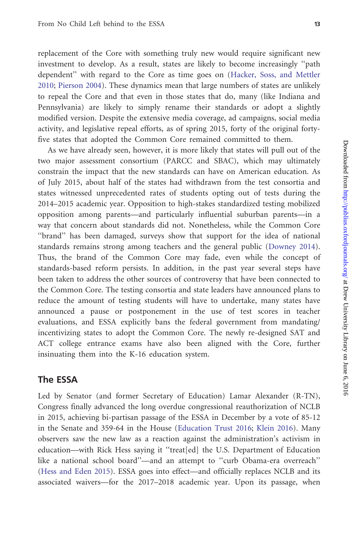replacement of the Core with something truly new would require significant new investment to develop. As a result, states are likely to become increasingly ''path dependent'' with regard to the Core as time goes on ([Hacker, Soss, and Mettler](#page-19-0) [2010;](#page-19-0) [Pierson 2004\)](#page-21-0). These dynamics mean that large numbers of states are unlikely to repeal the Core and that even in those states that do, many (like Indiana and Pennsylvania) are likely to simply rename their standards or adopt a slightly modified version. Despite the extensive media coverage, ad campaigns, social media activity, and legislative repeal efforts, as of spring 2015, forty of the original fortyfive states that adopted the Common Core remained committed to them.

As we have already seen, however, it is more likely that states will pull out of the two major assessment consortium (PARCC and SBAC), which may ultimately constrain the impact that the new standards can have on American education. As of July 2015, about half of the states had withdrawn from the test consortia and states witnessed unprecedented rates of students opting out of tests during the 2014–2015 academic year. Opposition to high-stakes standardized testing mobilized opposition among parents—and particularly influential suburban parents—in a way that concern about standards did not. Nonetheless, while the Common Core ''brand'' has been damaged, surveys show that support for the idea of national standards remains strong among teachers and the general public ([Downey 2014](#page-19-0)). Thus, the brand of the Common Core may fade, even while the concept of standards-based reform persists. In addition, in the past year several steps have been taken to address the other sources of controversy that have been connected to the Common Core. The testing consortia and state leaders have announced plans to reduce the amount of testing students will have to undertake, many states have announced a pause or postponement in the use of test scores in teacher evaluations, and ESSA explicitly bans the federal government from mandating/ incentivizing states to adopt the Common Core. The newly re-designed SAT and ACT college entrance exams have also been aligned with the Core, further insinuating them into the K-16 education system.

### The ESSA

Led by Senator (and former Secretary of Education) Lamar Alexander (R-TN), Congress finally advanced the long overdue congressional reauthorization of NCLB in 2015, achieving bi-partisan passage of the ESSA in December by a vote of 85-12 in the Senate and 359-64 in the House [\(Education Trust 2016](#page-19-0); [Klein 2016\)](#page-20-0). Many observers saw the new law as a reaction against the administration's activism in education—with Rick Hess saying it ''treat[ed] the U.S. Department of Education like a national school board''—and an attempt to ''curb Obama-era overreach'' ([Hess and Eden 2015](#page-19-0)). ESSA goes into effect—and officially replaces NCLB and its associated waivers—for the 2017–2018 academic year. Upon its passage, when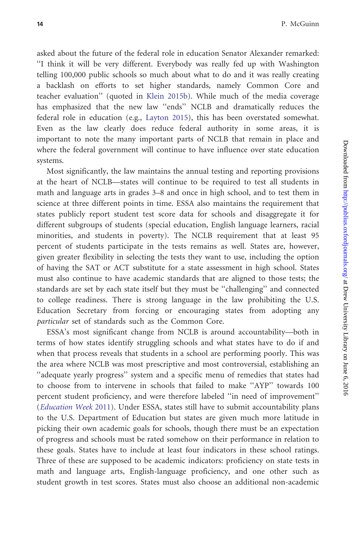asked about the future of the federal role in education Senator Alexander remarked: ''I think it will be very different. Everybody was really fed up with Washington telling 100,000 public schools so much about what to do and it was really creating a backlash on efforts to set higher standards, namely Common Core and teacher evaluation'' (quoted in [Klein 2015b\)](#page-20-0). While much of the media coverage has emphasized that the new law ''ends'' NCLB and dramatically reduces the federal role in education (e.g., [Layton 2015\)](#page-20-0), this has been overstated somewhat. Even as the law clearly does reduce federal authority in some areas, it is important to note the many important parts of NCLB that remain in place and where the federal government will continue to have influence over state education systems.

Most significantly, the law maintains the annual testing and reporting provisions at the heart of NCLB—states will continue to be required to test all students in math and language arts in grades 3–8 and once in high school, and to test them in science at three different points in time. ESSA also maintains the requirement that states publicly report student test score data for schools and disaggregate it for different subgroups of students (special education, English language learners, racial minorities, and students in poverty). The NCLB requirement that at least 95 percent of students participate in the tests remains as well. States are, however, given greater flexibility in selecting the tests they want to use, including the option of having the SAT or ACT substitute for a state assessment in high school. States must also continue to have academic standards that are aligned to those tests; the standards are set by each state itself but they must be ''challenging'' and connected to college readiness. There is strong language in the law prohibiting the U.S. Education Secretary from forcing or encouraging states from adopting any particular set of standards such as the Common Core.

ESSA's most significant change from NCLB is around accountability—both in terms of how states identify struggling schools and what states have to do if and when that process reveals that students in a school are performing poorly. This was the area where NCLB was most prescriptive and most controversial, establishing an ''adequate yearly progress'' system and a specific menu of remedies that states had to choose from to intervene in schools that failed to make ''AYP'' towards 100 percent student proficiency, and were therefore labeled ''in need of improvement'' ([Education Week](#page-19-0) 2011). Under ESSA, states still have to submit accountability plans to the U.S. Department of Education but states are given much more latitude in picking their own academic goals for schools, though there must be an expectation of progress and schools must be rated somehow on their performance in relation to these goals. States have to include at least four indicators in these school ratings. Three of these are supposed to be academic indicators: proficiency on state tests in math and language arts, English-language proficiency, and one other such as student growth in test scores. States must also choose an additional non-academic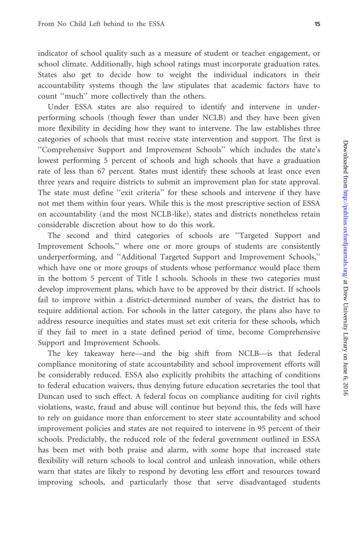indicator of school quality such as a measure of student or teacher engagement, or school climate. Additionally, high school ratings must incorporate graduation rates. States also get to decide how to weight the individual indicators in their accountability systems though the law stipulates that academic factors have to count ''much'' more collectively than the others.

Under ESSA states are also required to identify and intervene in underperforming schools (though fewer than under NCLB) and they have been given more flexibility in deciding how they want to intervene. The law establishes three categories of schools that must receive state intervention and support. The first is ''Comprehensive Support and Improvement Schools'' which includes the state's lowest performing 5 percent of schools and high schools that have a graduation rate of less than 67 percent. States must identify these schools at least once even three years and require districts to submit an improvement plan for state approval. The state must define "exit criteria" for these schools and intervene if they have not met them within four years. While this is the most prescriptive section of ESSA on accountability (and the most NCLB-like), states and districts nonetheless retain considerable discretion about how to do this work.

The second and third categories of schools are ''Targeted Support and Improvement Schools,'' where one or more groups of students are consistently underperforming, and ''Additional Targeted Support and Improvement Schools,'' which have one or more groups of students whose performance would place them in the bottom 5 percent of Title I schools. Schools in these two categories must develop improvement plans, which have to be approved by their district. If schools fail to improve within a district-determined number of years, the district has to require additional action. For schools in the latter category, the plans also have to address resource inequities and states must set exit criteria for these schools, which if they fail to meet in a state defined period of time, become Comprehensive Support and Improvement Schools.

The key takeaway here—and the big shift from NCLB—is that federal compliance monitoring of state accountability and school improvement efforts will be considerably reduced. ESSA also explicitly prohibits the attaching of conditions to federal education waivers, thus denying future education secretaries the tool that Duncan used to such effect. A federal focus on compliance auditing for civil rights violations, waste, fraud and abuse will continue but beyond this, the feds will have to rely on guidance more than enforcement to steer state accountability and school improvement policies and states are not required to intervene in 95 percent of their schools. Predictably, the reduced role of the federal government outlined in ESSA has been met with both praise and alarm, with some hope that increased state flexibility will return schools to local control and unleash innovation, while others warn that states are likely to respond by devoting less effort and resources toward improving schools, and particularly those that serve disadvantaged students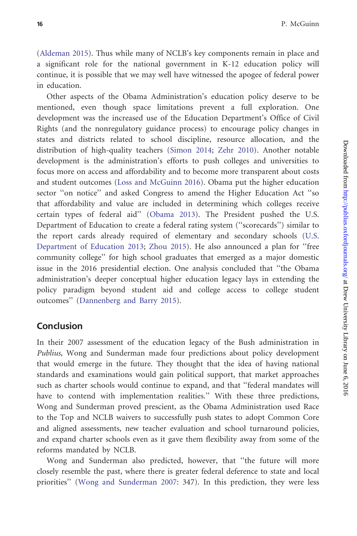[\(Aldeman 2015\)](#page-17-0). Thus while many of NCLB's key components remain in place and a significant role for the national government in K-12 education policy will continue, it is possible that we may well have witnessed the apogee of federal power in education.

Other aspects of the Obama Administration's education policy deserve to be mentioned, even though space limitations prevent a full exploration. One development was the increased use of the Education Department's Office of Civil Rights (and the nonregulatory guidance process) to encourage policy changes in states and districts related to school discipline, resource allocation, and the distribution of high-quality teachers ([Simon 2014](#page-22-0); [Zehr 2010\)](#page-23-0). Another notable development is the administration's efforts to push colleges and universities to focus more on access and affordability and to become more transparent about costs and student outcomes [\(Loss and McGuinn 2016](#page-20-0)). Obama put the higher education sector ''on notice'' and asked Congress to amend the Higher Education Act ''so that affordability and value are included in determining which colleges receive certain types of federal aid'' [\(Obama 2013](#page-21-0)). The President pushed the U.S. Department of Education to create a federal rating system (''scorecards'') similar to the report cards already required of elementary and secondary schools [\(U.S.](#page-23-0) [Department of Education 2013;](#page-23-0) [Zhou 2015](#page-23-0)). He also announced a plan for ''free community college'' for high school graduates that emerged as a major domestic issue in the 2016 presidential election. One analysis concluded that ''the Obama administration's deeper conceptual higher education legacy lays in extending the policy paradigm beyond student aid and college access to college student outcomes'' [\(Dannenberg and Barry 2015](#page-18-0)).

# Conclusion

In their 2007 assessment of the education legacy of the Bush administration in Publius, Wong and Sunderman made four predictions about policy development that would emerge in the future. They thought that the idea of having national standards and examinations would gain political support, that market approaches such as charter schools would continue to expand, and that ''federal mandates will have to contend with implementation realities.'' With these three predictions, Wong and Sunderman proved prescient, as the Obama Administration used Race to the Top and NCLB waivers to successfully push states to adopt Common Core and aligned assessments, new teacher evaluation and school turnaround policies, and expand charter schools even as it gave them flexibility away from some of the reforms mandated by NCLB.

Wong and Sunderman also predicted, however, that ''the future will more closely resemble the past, where there is greater federal deference to state and local priorities'' ([Wong and Sunderman 2007:](#page-23-0) 347). In this prediction, they were less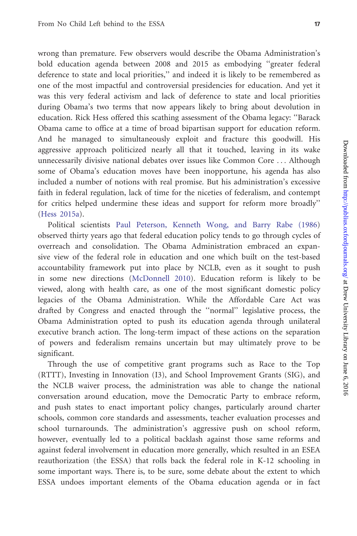wrong than premature. Few observers would describe the Obama Administration's bold education agenda between 2008 and 2015 as embodying ''greater federal deference to state and local priorities,'' and indeed it is likely to be remembered as one of the most impactful and controversial presidencies for education. And yet it was this very federal activism and lack of deference to state and local priorities during Obama's two terms that now appears likely to bring about devolution in education. Rick Hess offered this scathing assessment of the Obama legacy: ''Barack Obama came to office at a time of broad bipartisan support for education reform. And he managed to simultaneously exploit and fracture this goodwill. His aggressive approach politicized nearly all that it touched, leaving in its wake unnecessarily divisive national debates over issues like Common Core ... Although some of Obama's education moves have been inopportune, his agenda has also included a number of notions with real promise. But his administration's excessive faith in federal regulation, lack of time for the niceties of federalism, and contempt for critics helped undermine these ideas and support for reform more broadly'' ([Hess 2015a\)](#page-19-0).

Political scientists [Paul Peterson, Kenneth Wong, and Barry Rabe \(1986\)](#page-21-0) observed thirty years ago that federal education policy tends to go through cycles of overreach and consolidation. The Obama Administration embraced an expansive view of the federal role in education and one which built on the test-based accountability framework put into place by NCLB, even as it sought to push in some new directions ([McDonnell 2010](#page-20-0)). Education reform is likely to be viewed, along with health care, as one of the most significant domestic policy legacies of the Obama Administration. While the Affordable Care Act was drafted by Congress and enacted through the ''normal'' legislative process, the Obama Administration opted to push its education agenda through unilateral executive branch action. The long-term impact of these actions on the separation of powers and federalism remains uncertain but may ultimately prove to be significant.

Through the use of competitive grant programs such as Race to the Top (RTTT), Investing in Innovation (I3), and School Improvement Grants (SIG), and the NCLB waiver process, the administration was able to change the national conversation around education, move the Democratic Party to embrace reform, and push states to enact important policy changes, particularly around charter schools, common core standards and assessments, teacher evaluation processes and school turnarounds. The administration's aggressive push on school reform, however, eventually led to a political backlash against those same reforms and against federal involvement in education more generally, which resulted in an ESEA reauthorization (the ESSA) that rolls back the federal role in K-12 schooling in some important ways. There is, to be sure, some debate about the extent to which ESSA undoes important elements of the Obama education agenda or in fact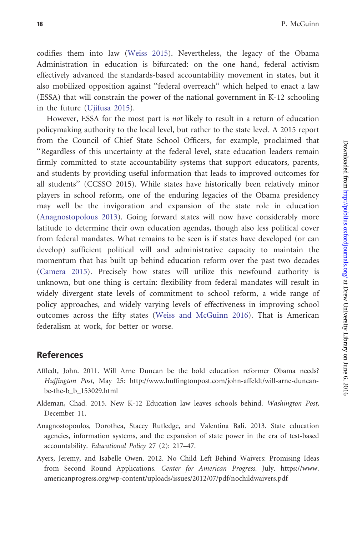<span id="page-17-0"></span>codifies them into law ([Weiss 2015](#page-23-0)). Nevertheless, the legacy of the Obama Administration in education is bifurcated: on the one hand, federal activism effectively advanced the standards-based accountability movement in states, but it also mobilized opposition against ''federal overreach'' which helped to enact a law (ESSA) that will constrain the power of the national government in K-12 schooling in the future [\(Ujifusa 2015](#page-23-0)).

However, ESSA for the most part is not likely to result in a return of education policymaking authority to the local level, but rather to the state level. A 2015 report from the Council of Chief State School Officers, for example, proclaimed that ''Regardless of this uncertainty at the federal level, state education leaders remain firmly committed to state accountability systems that support educators, parents, and students by providing useful information that leads to improved outcomes for all students'' (CCSSO 2015). While states have historically been relatively minor players in school reform, one of the enduring legacies of the Obama presidency may well be the invigoration and expansion of the state role in education (Anagnostopolous 2013). Going forward states will now have considerably more latitude to determine their own education agendas, though also less political cover from federal mandates. What remains to be seen is if states have developed (or can develop) sufficient political will and administrative capacity to maintain the momentum that has built up behind education reform over the past two decades [\(Camera 2015\)](#page-18-0). Precisely how states will utilize this newfound authority is unknown, but one thing is certain: flexibility from federal mandates will result in widely divergent state levels of commitment to school reform, a wide range of policy approaches, and widely varying levels of effectiveness in improving school outcomes across the fifty states [\(Weiss and McGuinn 2016](#page-23-0)). That is American federalism at work, for better or worse.

### References

- Affledt, John. 2011. Will Arne Duncan be the bold education reformer Obama needs? Huffington Post, May 25: [http://www.huffingtonpost.com/john-affeldt/will-arne-duncan](http://www.huffingtonpost.com/john-affeldt/will-arne-duncan-be-the-b_b_153029.html)[be-the-b\\_b\\_153029.html](http://www.huffingtonpost.com/john-affeldt/will-arne-duncan-be-the-b_b_153029.html)
- Aldeman, Chad. 2015. New K-12 Education law leaves schools behind. Washington Post, December 11.
- Anagnostopoulos, Dorothea, Stacey Rutledge, and Valentina Bali. 2013. State education agencies, information systems, and the expansion of state power in the era of test-based accountability. Educational Policy 27 (2): 217–47.
- Ayers, Jeremy, and Isabelle Owen. 2012. No Child Left Behind Waivers: Promising Ideas from Second Round Applications. Center for American Progress. July. [https://www.](https://www.americanprogress.org/wp-content/uploads/issues/2012/07/pdf/nochildwaivers.pdf) [americanprogress.org/wp-content/uploads/issues/2012/07/pdf/nochildwaivers.pdf](https://www.americanprogress.org/wp-content/uploads/issues/2012/07/pdf/nochildwaivers.pdf)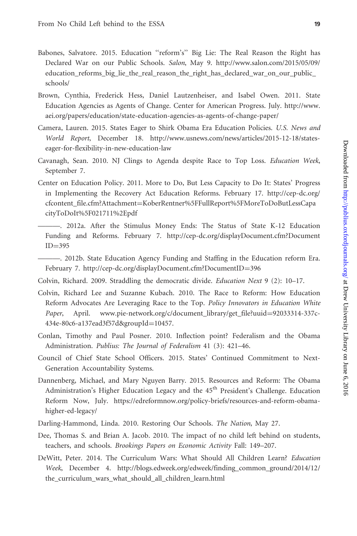- <span id="page-18-0"></span>Babones, Salvatore. 2015. Education ''reform's'' Big Lie: The Real Reason the Right has Declared War on our Public Schools. Salon, May 9. [http://www.salon.com/2015/05/09/](http://www.salon.com/2015/05/09/education_reforms_big_lie_the_real_reason_the_right_has_declared_war_on_our_public_schools/) [education\\_reforms\\_big\\_lie\\_the\\_real\\_reason\\_the\\_right\\_has\\_declared\\_war\\_on\\_our\\_public\\_](http://www.salon.com/2015/05/09/education_reforms_big_lie_the_real_reason_the_right_has_declared_war_on_our_public_schools/) [schools/](http://www.salon.com/2015/05/09/education_reforms_big_lie_the_real_reason_the_right_has_declared_war_on_our_public_schools/)
- Brown, Cynthia, Frederick Hess, Daniel Lautzenheiser, and Isabel Owen. 2011. State Education Agencies as Agents of Change. Center for American Progress. July. [http://www.](http://www.aei.org/papers/education/state-education-agencies-as-agents-of-change-paper/) [aei.org/papers/education/state-education-agencies-as-agents-of-change-paper/](http://www.aei.org/papers/education/state-education-agencies-as-agents-of-change-paper/)
- Camera, Lauren. 2015. States Eager to Shirk Obama Era Education Policies. U.S. News and World Report, December 18. [http://www.usnews.com/news/articles/2015-12-18/states](http://www.usnews.com/news/articles/2015-12-18/states-eager-for-flexibility-in-new-education-law)[eager-for-flexibility-in-new-education-law](http://www.usnews.com/news/articles/2015-12-18/states-eager-for-flexibility-in-new-education-law)
- Cavanagh, Sean. 2010. NJ Clings to Agenda despite Race to Top Loss. Education Week, September 7.
- Center on Education Policy. 2011. More to Do, But Less Capacity to Do It: States' Progress in Implementing the Recovery Act Education Reforms. February 17. [http://cep-dc.org/](http://cep-dc.org/cfcontent_file.cfm?Attachment=KoberRentner%5FFullReport%5FMoreToDoButLessCapacityToDoIt%5F021711%2Epdf) [cfcontent\\_file.cfm?Attachment](http://cep-dc.org/cfcontent_file.cfm?Attachment=KoberRentner%5FFullReport%5FMoreToDoButLessCapacityToDoIt%5F021711%2Epdf)¼[KoberRentner%5FFullReport%5FMoreToDoButLessCapa](http://cep-dc.org/cfcontent_file.cfm?Attachment=KoberRentner%5FFullReport%5FMoreToDoButLessCapacityToDoIt%5F021711%2Epdf) [cityToDoIt%5F021711%2Epdf](http://cep-dc.org/cfcontent_file.cfm?Attachment=KoberRentner%5FFullReport%5FMoreToDoButLessCapacityToDoIt%5F021711%2Epdf)
	- ———. 2012a. After the Stimulus Money Ends: The Status of State K-12 Education Funding and Reforms. February 7. [http://cep-dc.org/displayDocument.cfm?Document](http://cep-dc.org/displayDocument.cfm?DocumentID=395)  $ID = 395$  $ID = 395$  $ID = 395$
- ———. 2012b. State Education Agency Funding and Staffing in the Education reform Era. February 7. [http://cep-dc.org/displayDocument.cfm?DocumentID](http://cep-dc.org/displayDocument.cfm?DocumentID=396)=[396](http://cep-dc.org/displayDocument.cfm?DocumentID=396)
- Colvin, Richard. 2009. Straddling the democratic divide. Education Next 9 (2): 10–17.
- Colvin, Richard Lee and Suzanne Kubach. 2010. The Race to Reform: How Education Reform Advocates Are Leveraging Race to the Top. Policy Innovators in Education White Paper, April. [www.pie-network.org/c/document\\_library/get\\_file?uuid](http://www.pie-network.org/c/document_library/get_file?uuid=92033314-337c-434e-80c6-a137ead3f57d&groupId=10457)=[92033314-337c-](http://www.pie-network.org/c/document_library/get_file?uuid=92033314-337c-434e-80c6-a137ead3f57d&groupId=10457)[434e-80c6-a137ead3f57d&groupId](http://www.pie-network.org/c/document_library/get_file?uuid=92033314-337c-434e-80c6-a137ead3f57d&groupId=10457)=[10457](http://www.pie-network.org/c/document_library/get_file?uuid=92033314-337c-434e-80c6-a137ead3f57d&groupId=10457).
- Conlan, Timothy and Paul Posner. 2010. Inflection point? Federalism and the Obama Administration. Publius: The Journal of Federalism 41 (3): 421–46.
- Council of Chief State School Officers. 2015. States' Continued Commitment to Next-Generation Accountability Systems.
- Dannenberg, Michael, and Mary Nguyen Barry. 2015. Resources and Reform: The Obama Administration's Higher Education Legacy and the 45<sup>th</sup> President's Challenge. Education Reform Now, July. [https://edreformnow.org/policy-briefs/resources-and-reform-obama](https://edreformnow.org/policy-briefs/resources-and-reform-obama-higher-ed-legacy)[higher-ed-legacy/](https://edreformnow.org/policy-briefs/resources-and-reform-obama-higher-ed-legacy)
- Darling-Hammond, Linda. 2010. Restoring Our Schools. The Nation, May 27.
- Dee, Thomas S. and Brian A. Jacob. 2010. The impact of no child left behind on students, teachers, and schools. Brookings Papers on Economic Activity Fall: 149–207.
- DeWitt, Peter. 2014. The Curriculum Wars: What Should All Children Learn? Education Week, December 4. [http://blogs.edweek.org/edweek/finding\\_common\\_ground/2014/12/](http://blogs.edweek.org/edweek/finding_common_ground/2014/12/the_curriculum_wars_what_should_all_children_learn.html) [the\\_curriculum\\_wars\\_what\\_should\\_all\\_children\\_learn.html](http://blogs.edweek.org/edweek/finding_common_ground/2014/12/the_curriculum_wars_what_should_all_children_learn.html)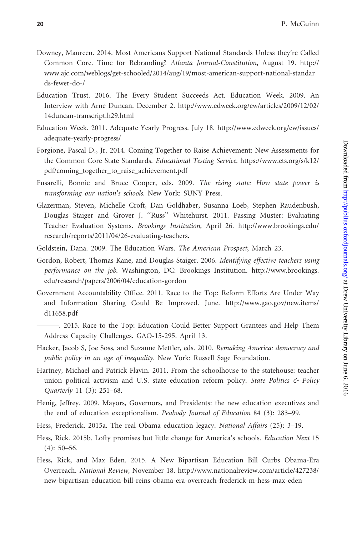- <span id="page-19-0"></span>Downey, Maureen. 2014. Most Americans Support National Standards Unless they're Called Common Core. Time for Rebranding? Atlanta Journal-Constitution, August 19. [http://](http://www.ajc.com/weblogs/get-schooled/2014/aug/19/most-american-support-national-standards-fewer-do-/) [www.ajc.com/weblogs/get-schooled/2014/aug/19/most-american-support-national-standar](http://www.ajc.com/weblogs/get-schooled/2014/aug/19/most-american-support-national-standards-fewer-do-/) [ds-fewer-do-/](http://www.ajc.com/weblogs/get-schooled/2014/aug/19/most-american-support-national-standards-fewer-do-/)
- Education Trust. 2016. The Every Student Succeeds Act. Education Week. 2009. An Interview with Arne Duncan. December 2. [http://www.edweek.org/ew/articles/2009/12/02/](http://www.edweek.org/ew/articles/2009/12/02/14duncan-transcript.h29.html) [14duncan-transcript.h29.html](http://www.edweek.org/ew/articles/2009/12/02/14duncan-transcript.h29.html)
- Education Week. 2011. Adequate Yearly Progress. July 18. [http://www.edweek.org/ew/issues/](http://www.edweek.org/ew/issues/adequate-yearly-progress/) [adequate-yearly-progress/](http://www.edweek.org/ew/issues/adequate-yearly-progress/)
- Forgione, Pascal D., Jr. 2014. Coming Together to Raise Achievement: New Assessments for the Common Core State Standards. Educational Testing Service. [https://www.ets.org/s/k12/](https://www.ets.org/s/k12/pdf/coming_together_to_raise_achievement.pdf) [pdf/coming\\_together\\_to\\_raise\\_achievement.pdf](https://www.ets.org/s/k12/pdf/coming_together_to_raise_achievement.pdf)
- Fusarelli, Bonnie and Bruce Cooper, eds. 2009. The rising state: How state power is transforming our nation's schools. New York: SUNY Press.
- Glazerman, Steven, Michelle Croft, Dan Goldhaber, Susanna Loeb, Stephen Raudenbush, Douglas Staiger and Grover J. ''Russ'' Whitehurst. 2011. Passing Muster: Evaluating Teacher Evaluation Systems. Brookings Institution, April 26. [http://www.brookings.edu/](http://www.brookings.edu/research/reports/2011/04/26-evaluating-teachers) [research/reports/2011/04/26-evaluating-teachers](http://www.brookings.edu/research/reports/2011/04/26-evaluating-teachers).
- Goldstein, Dana. 2009. The Education Wars. The American Prospect, March 23.
- Gordon, Robert, Thomas Kane, and Douglas Staiger. 2006. Identifying effective teachers using performance on the job. Washington, DC: Brookings Institution. [http://www.brookings.](http://www.brookings.edu/research/papers/2006/04/education-gordon) [edu/research/papers/2006/04/education-gordon](http://www.brookings.edu/research/papers/2006/04/education-gordon)
- Government Accountability Office. 2011. Race to the Top: Reform Efforts Are Under Way and Information Sharing Could Be Improved. June. [http://www.gao.gov/new.items/](http://www.gao.gov/new.items/d11658.pdf) [d11658.pdf](http://www.gao.gov/new.items/d11658.pdf)
- ———. 2015. Race to the Top: Education Could Better Support Grantees and Help Them Address Capacity Challenges. GAO-15-295. April 13.
- Hacker, Jacob S, Joe Soss, and Suzanne Mettler, eds. 2010. Remaking America: democracy and public policy in an age of inequality. New York: Russell Sage Foundation.
- Hartney, Michael and Patrick Flavin. 2011. From the schoolhouse to the statehouse: teacher union political activism and U.S. state education reform policy. State Politics  $\phi$  Policy Quarterly 11 (3): 251–68.
- Henig, Jeffrey. 2009. Mayors, Governors, and Presidents: the new education executives and the end of education exceptionalism. Peabody Journal of Education 84 (3): 283–99.
- Hess, Frederick. 2015a. The real Obama education legacy. National Affairs (25): 3–19.
- Hess, Rick. 2015b. Lofty promises but little change for America's schools. Education Next 15 (4): 50–56.
- Hess, Rick, and Max Eden. 2015. A New Bipartisan Education Bill Curbs Obama-Era Overreach. National Review, November 18. [http://www.nationalreview.com/article/427238/](http://www.nationalreview.com/article/427238/new-bipartisan-education-bill-reins-obama-era-overreach-frederick-m-hess-max-eden) [new-bipartisan-education-bill-reins-obama-era-overreach-frederick-m-hess-max-eden](http://www.nationalreview.com/article/427238/new-bipartisan-education-bill-reins-obama-era-overreach-frederick-m-hess-max-eden)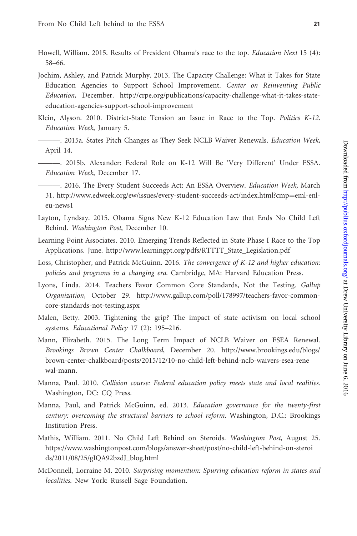- <span id="page-20-0"></span>Howell, William. 2015. Results of President Obama's race to the top. Education Next 15 (4): 58–66.
- Jochim, Ashley, and Patrick Murphy. 2013. The Capacity Challenge: What it Takes for State Education Agencies to Support School Improvement. Center on Reinventing Public Education, December. [http://crpe.org/publications/capacity-challenge-what-it-takes-state](http://crpe.org/publications/capacity-challenge-what-it-takes-state-education-agencies-support-school-improvement)[education-agencies-support-school-improvement](http://crpe.org/publications/capacity-challenge-what-it-takes-state-education-agencies-support-school-improvement)
- Klein, Alyson. 2010. District-State Tension an Issue in Race to the Top. Politics K-12. Education Week, January 5.
	- ———. 2015a. States Pitch Changes as They Seek NCLB Waiver Renewals. Education Week, April 14.
	- ———. 2015b. Alexander: Federal Role on K-12 Will Be 'Very Different' Under ESSA. Education Week, December 17.
	- -. 2016. The Every Student Succeeds Act: An ESSA Overview. Education Week, March 31. [http://www.edweek.org/ew/issues/every-student-succeeds-act/index.html?cmp](http://www.edweek.org/ew/issues/every-student-succeeds-act/index.html?cmp=eml-enl-eu-news1)=[eml-enl](http://www.edweek.org/ew/issues/every-student-succeeds-act/index.html?cmp=eml-enl-eu-news1)[eu-news1](http://www.edweek.org/ew/issues/every-student-succeeds-act/index.html?cmp=eml-enl-eu-news1)
- Layton, Lyndsay. 2015. Obama Signs New K-12 Education Law that Ends No Child Left Behind. Washington Post, December 10.
- Learning Point Associates. 2010. Emerging Trends Reflected in State Phase I Race to the Top Applications. June. [http://www.learningpt.org/pdfs/RTTTT\\_State\\_Legislation.pdf](http://www.learningpt.org/pdfs/RTTTT_State_Legislation.pdf)
- Loss, Christopher, and Patrick McGuinn. 2016. The convergence of K-12 and higher education: policies and programs in a changing era. Cambridge, MA: Harvard Education Press.
- Lyons, Linda. 2014. Teachers Favor Common Core Standards, Not the Testing. Gallup Organization, October 29. [http://www.gallup.com/poll/178997/teachers-favor-common](http://www.gallup.com/poll/178997/teachers-favor-common-core-standards-not-testing.aspx)[core-standards-not-testing.aspx](http://www.gallup.com/poll/178997/teachers-favor-common-core-standards-not-testing.aspx)
- Malen, Betty. 2003. Tightening the grip? The impact of state activism on local school systems. Educational Policy 17 (2): 195–216.
- Mann, Elizabeth. 2015. The Long Term Impact of NCLB Waiver on ESEA Renewal. Brookings Brown Center Chalkboard, December 20. [http://www.brookings.edu/blogs/](http://www.brookings.edu/blogs/brown-center-chalkboard/posts/2015/12/10-no-child-left-behind-nclb-waivers-esea-renewal-mann) [brown-center-chalkboard/posts/2015/12/10-no-child-left-behind-nclb-waivers-esea-rene](http://www.brookings.edu/blogs/brown-center-chalkboard/posts/2015/12/10-no-child-left-behind-nclb-waivers-esea-renewal-mann) [wal-mann](http://www.brookings.edu/blogs/brown-center-chalkboard/posts/2015/12/10-no-child-left-behind-nclb-waivers-esea-renewal-mann).
- Manna, Paul. 2010. Collision course: Federal education policy meets state and local realities. Washington, DC: CQ Press.
- Manna, Paul, and Patrick McGuinn, ed. 2013. Education governance for the twenty-first century: overcoming the structural barriers to school reform. Washington, D.C.: Brookings Institution Press.
- Mathis, William. 2011. No Child Left Behind on Steroids. Washington Post, August 25. [https://www.washingtonpost.com/blogs/answer-sheet/post/no-child-left-behind-on-steroi](https://www.washingtonpost.com/blogs/answer-sheet/post/no-child-left-behind-on-steroids/2011/08/25/gIQA92bzdJ_blog.html) [ds/2011/08/25/gIQA92bzdJ\\_blog.html](https://www.washingtonpost.com/blogs/answer-sheet/post/no-child-left-behind-on-steroids/2011/08/25/gIQA92bzdJ_blog.html)
- McDonnell, Lorraine M. 2010. Surprising momentum: Spurring education reform in states and localities. New York: Russell Sage Foundation.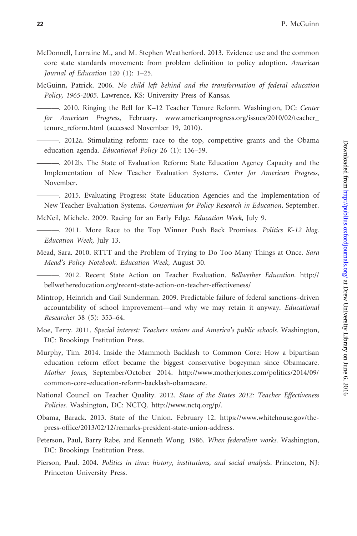- <span id="page-21-0"></span>McDonnell, Lorraine M., and M. Stephen Weatherford. 2013. Evidence use and the common core state standards movement: from problem definition to policy adoption. American Journal of Education 120 (1): 1–25.
- McGuinn, Patrick. 2006. No child left behind and the transformation of federal education Policy, 1965-2005. Lawrence, KS: University Press of Kansas.

- 2010. Ringing the Bell for K-12 Teacher Tenure Reform. Washington, DC: Center for American Progress, February. [www.americanprogress.org/issues/2010/02/teacher\\_](http://www.americanprogress.org/issues/2010/02/teacher_tenure_reform.html) [tenure\\_reform.html](http://www.americanprogress.org/issues/2010/02/teacher_tenure_reform.html) (accessed November 19, 2010).

———. 2012a. Stimulating reform: race to the top, competitive grants and the Obama education agenda. Educational Policy 26 (1): 136–59.

———. 2012b. The State of Evaluation Reform: State Education Agency Capacity and the Implementation of New Teacher Evaluation Systems. Center for American Progress, November.

———. 2015. Evaluating Progress: State Education Agencies and the Implementation of New Teacher Evaluation Systems. Consortium for Policy Research in Education, September. McNeil, Michele. 2009. Racing for an Early Edge. Education Week, July 9.

-. 2011. More Race to the Top Winner Push Back Promises. Politics K-12 blog. Education Week, July 13.

Mead, Sara. 2010. RTTT and the Problem of Trying to Do Too Many Things at Once. Sara Mead's Policy Notebook. Education Week, August 30.

———. 2012. Recent State Action on Teacher Evaluation. Bellwether Education. [http://](http://bellwethereducation.org/recent-state-action-on-teacher-effectiveness) [bellwethereducation.org/recent-state-action-on-teacher-effectiveness/](http://bellwethereducation.org/recent-state-action-on-teacher-effectiveness)

- Mintrop, Heinrich and Gail Sunderman. 2009. Predictable failure of federal sanctions–driven accountability of school improvement—and why we may retain it anyway. Educational Researcher 38 (5): 353–64.
- Moe, Terry. 2011. Special interest: Teachers unions and America's public schools. Washington, DC: Brookings Institution Press.
- Murphy, Tim. 2014. Inside the Mammoth Backlash to Common Core: How a bipartisan education reform effort became the biggest conservative bogeyman since Obamacare. Mother Jones, September/October 2014. [http://www.motherjones.com/politics/2014/09/](http://www.motherjones.com/politics/2014/09/common-core-education-reform-backlash-obamacare) [common-core-education-reform-backlash-obamacare](http://www.motherjones.com/politics/2014/09/common-core-education-reform-backlash-obamacare).
- National Council on Teacher Quality. 2012. State of the States 2012: Teacher Effectiveness Policies. Washington, DC: NCTQ.<http://www.nctq.org/p/>.
- Obama, Barack. 2013. State of the Union. February 12. [https://www.whitehouse.gov/the](https://www.whitehouse.gov/the-press-office/2013/02/12/remarks-president-state-union-address)[press-office/2013/02/12/remarks-president-state-union-address](https://www.whitehouse.gov/the-press-office/2013/02/12/remarks-president-state-union-address).
- Peterson, Paul, Barry Rabe, and Kenneth Wong. 1986. When federalism works. Washington, DC: Brookings Institution Press.
- Pierson, Paul. 2004. Politics in time: history, institutions, and social analysis. Princeton, NJ: Princeton University Press.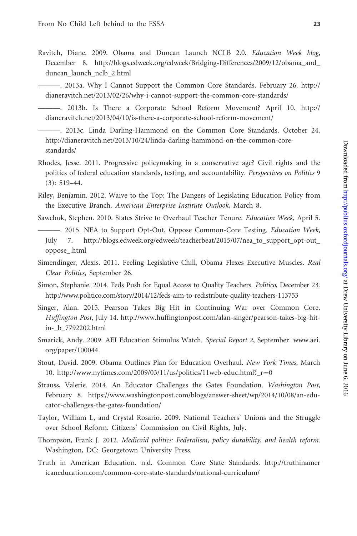<span id="page-22-0"></span>Ravitch, Diane. 2009. Obama and Duncan Launch NCLB 2.0. Education Week blog, December 8. [http://blogs.edweek.org/edweek/Bridging-Differences/2009/12/obama\\_and\\_](http://blogs.edweek.org/edweek/Bridging-Differences/2009/12/obama_and_duncan_launch_nclb_2.html) [duncan\\_launch\\_nclb\\_2.html](http://blogs.edweek.org/edweek/Bridging-Differences/2009/12/obama_and_duncan_launch_nclb_2.html)

———. 2013a. Why I Cannot Support the Common Core Standards. February 26. [http://](http://dianeravitch.net/2013/02/26/why-i-cannot-support-the-common-core-standards/) [dianeravitch.net/2013/02/26/why-i-cannot-support-the-common-core-standards/](http://dianeravitch.net/2013/02/26/why-i-cannot-support-the-common-core-standards/)

———. 2013b. Is There a Corporate School Reform Movement? April 10. [http://](http://dianeravitch.net/2013/04/10/is-there-a-corporate-school-reform-movement/) [dianeravitch.net/2013/04/10/is-there-a-corporate-school-reform-movement/](http://dianeravitch.net/2013/04/10/is-there-a-corporate-school-reform-movement/)

———. 2013c. Linda Darling-Hammond on the Common Core Standards. October 24. [http://dianeravitch.net/2013/10/24/linda-darling-hammond-on-the-common-core](http://dianeravitch.net/2013/10/24/linda-darling-hammond-on-the-common-core-standards/)[standards/](http://dianeravitch.net/2013/10/24/linda-darling-hammond-on-the-common-core-standards/)

- Rhodes, Jesse. 2011. Progressive policymaking in a conservative age? Civil rights and the politics of federal education standards, testing, and accountability. Perspectives on Politics 9 (3): 519–44.
- Riley, Benjamin. 2012. Waive to the Top: The Dangers of Legislating Education Policy from the Executive Branch. American Enterprise Institute Outlook, March 8.
- Sawchuk, Stephen. 2010. States Strive to Overhaul Teacher Tenure. Education Week, April 5.

- 2015. NEA to Support Opt-Out, Oppose Common-Core Testing. Education Week, July 7. [http://blogs.edweek.org/edweek/teacherbeat/2015/07/nea\\_to\\_support\\_opt-out\\_](http://blogs.edweek.org/edweek/teacherbeat/2015/07/nea_to_support_opt-out_oppose_.html) [oppose\\_.html](http://blogs.edweek.org/edweek/teacherbeat/2015/07/nea_to_support_opt-out_oppose_.html)

- Simendinger, Alexis. 2011. Feeling Legislative Chill, Obama Flexes Executive Muscles. Real Clear Politics, September 26.
- Simon, Stephanie. 2014. Feds Push for Equal Access to Quality Teachers. Politico, December 23. <http://www.politico.com/story/2014/12/feds-aim-to-redistribute-quality-teachers-113753>
- Singer, Alan. 2015. Pearson Takes Big Hit in Continuing War over Common Core. Huffington Post, July 14. [http://www.huffingtonpost.com/alan-singer/pearson-takes-big-hit](http://www.huffingtonpost.com/alan-singer/pearson-takes-big-hit-in-_b_7792202.html)[in-\\_b\\_7792202.html](http://www.huffingtonpost.com/alan-singer/pearson-takes-big-hit-in-_b_7792202.html)
- Smarick, Andy. 2009. AEI Education Stimulus Watch. Special Report 2, September. [www.aei.](http://www.aei.org/paper/100044) [org/paper/100044.](http://www.aei.org/paper/100044)
- Stout, David. 2009. Obama Outlines Plan for Education Overhaul. New York Times, March 10. [http://www.nytimes.com/2009/03/11/us/politics/11web-educ.html?\\_r](http://www.nytimes.com/2009/03/11/us/politics/11web-educ.html?_r=0)=[0](http://www.nytimes.com/2009/03/11/us/politics/11web-educ.html?_r=0)
- Strauss, Valerie. 2014. An Educator Challenges the Gates Foundation. Washington Post, February 8. [https://www.washingtonpost.com/blogs/answer-sheet/wp/2014/10/08/an-edu](https://www.washingtonpost.com/blogs/answer-sheet/wp/2014/10/08/an-educator-challenges-the-gates-foundation)[cator-challenges-the-gates-foundation/](https://www.washingtonpost.com/blogs/answer-sheet/wp/2014/10/08/an-educator-challenges-the-gates-foundation)
- Taylor, William L, and Crystal Rosario. 2009. National Teachers' Unions and the Struggle over School Reform. Citizens' Commission on Civil Rights, July.
- Thompson, Frank J. 2012. Medicaid politics: Federalism, policy durability, and health reform. Washington, DC: Georgetown University Press.
- Truth in American Education. n.d. Common Core State Standards. [http://truthinamer](http://truthinamericaneducation.com/common-core-state-standards/national-curriculum/) [icaneducation.com/common-core-state-standards/national-curriculum/](http://truthinamericaneducation.com/common-core-state-standards/national-curriculum/)